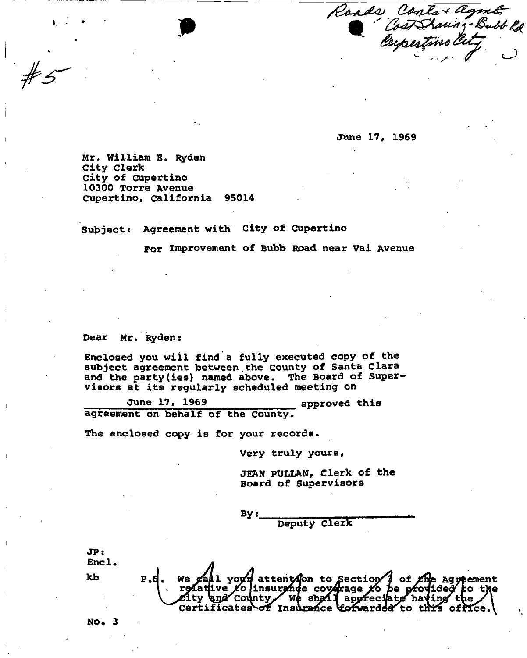Roads Contat agent

**June 17, 1969** 

**Mr. William E. Ryden City clerk City of Cupertino 10300 Torre Avenue Cupertino, California 95014** 

**Subject: Agreement with City of Cupertino** 

**For improvement of Bubb Road near Vai Avenue** 

**Dear Mr. Ryden:** 

**Enclosed you will find a fully executed copy of the subject agreement between.the County of Santa Clara and the party(ies) named above. The Board of Supervisors at its regularly scheduled meeting on** 

June 17, 1969 **approved this agreement on behalf of the County.** 

**The enclosed copy is for your records.** 

**Very truly yours,** 

**JEAN PULLAN, Clerk of the Board of Supervisors** 

**By» Deputy Clerk** 

**JPs Encl.**  e gall your attent (on to Section) of the Agreement<br>relative to insurance coverage to be provided to the<br>city and county, we shall appreciate having the **kb**  Certificates of Insurance to fwarded to this office.

**NO. 3**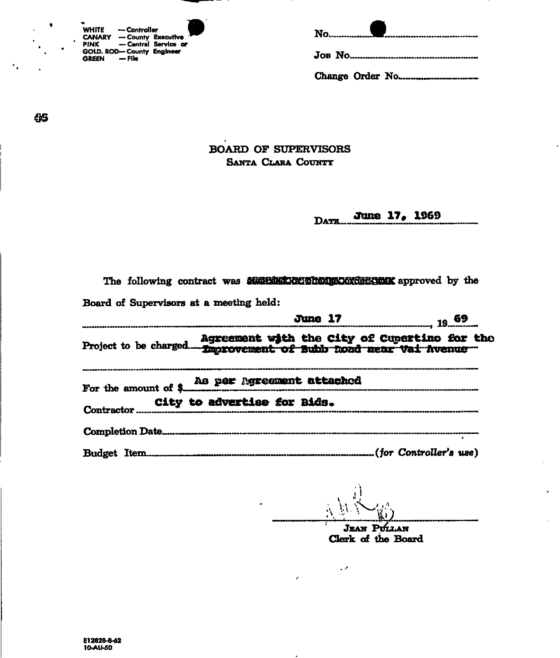| <b>WHITE</b>                     |              |                      |  |
|----------------------------------|--------------|----------------------|--|
|                                  | — Controller |                      |  |
| <b>CANARY - County Executive</b> |              |                      |  |
| PINK                             |              | - Central Service or |  |
| GOLD. ROD-County Engineer        |              |                      |  |
| GREEN - File                     |              |                      |  |

|--|--|--|

65

٠.

 $\bullet$ 

### **BOARD OF SUPERVISORS** SANTA CLARA COUNTY

June 17, 1969 DATR...

|  |                                         | The following contract was MERIMANEOU THEOREM approved by the                                                                                                                                                                                     |  |
|--|-----------------------------------------|---------------------------------------------------------------------------------------------------------------------------------------------------------------------------------------------------------------------------------------------------|--|
|  | Board of Supervisors at a meeting held: |                                                                                                                                                                                                                                                   |  |
|  |                                         | June 17 19 69<br>enen ar en pensara de l'étérie de l'artificie de l'artificie de l'artificie de l'artificie de l'artificie de l<br>Le production de la production de l'étérie de l'artificie de l'artificie de l'artificie de la production de l' |  |
|  |                                         |                                                                                                                                                                                                                                                   |  |
|  |                                         | For the amount of \$ 24 per Agreement attached                                                                                                                                                                                                    |  |
|  |                                         | City to advertise for Bids.                                                                                                                                                                                                                       |  |
|  |                                         |                                                                                                                                                                                                                                                   |  |
|  |                                         |                                                                                                                                                                                                                                                   |  |

 $\sim$   $\sigma$ 

JEAN PULLAN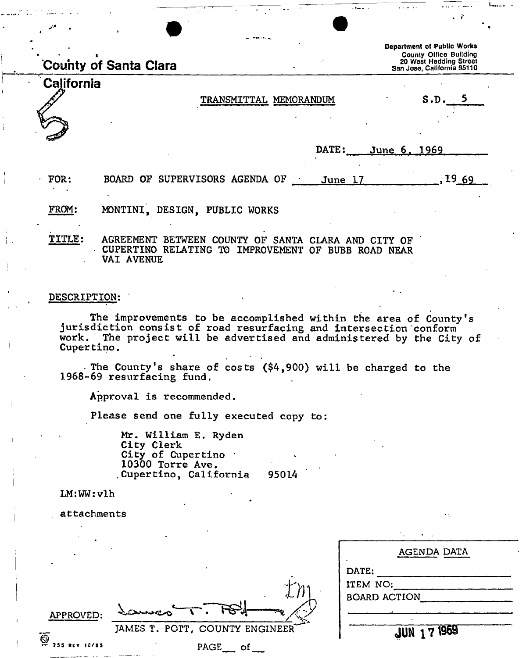|               | County of Santa Clara                                                                                                           | Department of Public Works<br>County Office Building<br>20 West Hedding Street<br>San Jose, California 95110 |
|---------------|---------------------------------------------------------------------------------------------------------------------------------|--------------------------------------------------------------------------------------------------------------|
| California    | TRANSMITTAL MEMORANDUM                                                                                                          | S.D. 5                                                                                                       |
|               | DATE:                                                                                                                           | <u>June 6, 1969</u>                                                                                          |
| FOR:<br>FROM: | BOARD OF SUPERVISORS AGENDA OF<br>June 17<br>MONTINI, DESIGN, PUBLIC WORKS                                                      | .1969                                                                                                        |
| <b>TITLE:</b> | AGREEMENT BETWEEN COUNTY OF SANTA CLARA AND CITY OF<br>CUPERTINO RELATING TO IMPROVEMENT OF BUBB ROAD NEAR<br><b>VAI AVENUE</b> |                                                                                                              |

### DESCRIPTION:

The improvements to be accomplished within the area of County's jurisdiction consist of road resurfacing and intersection conform work. The project will be advertised and administered by the City of Cupertino.

. The County's share of costs (\$4,900) will be charged to the 1968-69 resurfacing fund.

Approval is recommended.

Please send one fully executed copy to:

Mr. William E. Ryden City Clerk City of Cupertino  $\cdot$ 10300 Torre Ave. Cupertino, California 95014

LM:WW:vlh

attachments

|                           |                                | AGENDA DATA                     |
|---------------------------|--------------------------------|---------------------------------|
|                           |                                | DATE:                           |
|                           | ダー                             | ITEM NO:<br><b>BOARD ACTION</b> |
| APPROVED:                 | LZ.<br>someo                   |                                 |
|                           | JAMES T. POTT, COUNTY ENGINEER | JUN 171969                      |
| Ī<br><b>255 REV 10/65</b> | PAGE<br>οf                     |                                 |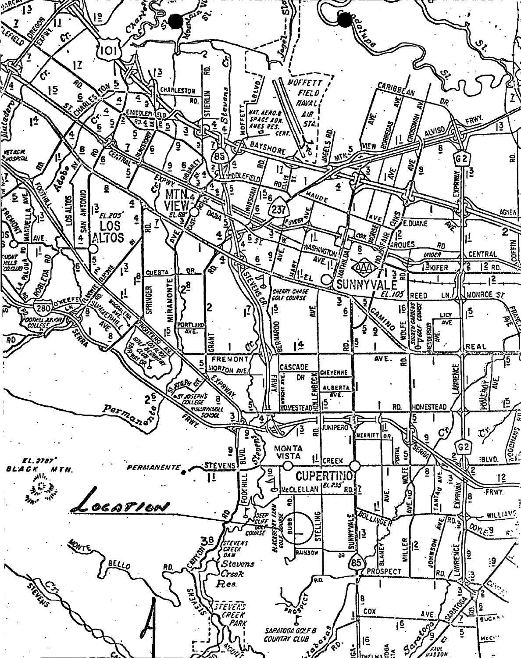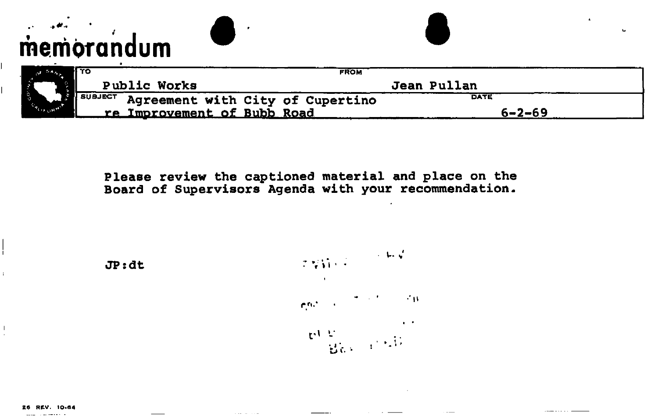# **memorandum**

|                    | סד ו                                          | <b>FROM</b> |             |  |
|--------------------|-----------------------------------------------|-------------|-------------|--|
|                    | <b>Public Works</b>                           |             | Jean Pullan |  |
|                    | ALLE SUBJECT Agreement with City of Cupertino |             | <b>DATE</b> |  |
| $\alpha_{\rm EOB}$ | re Improvement of Bubb Road                   |             | 6-2-69      |  |

**Please review the captioned material and place on the Board of Supervisors Agenda with your recommendation.** 





 $\overline{\phantom{a}}$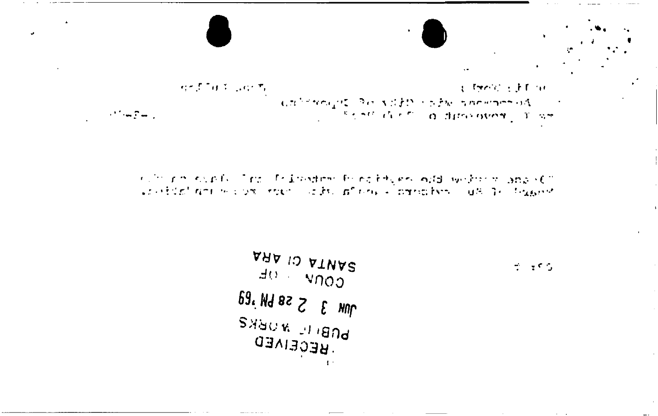त्त्वदेशिकी प्रयोगीत City-off of Fine 

culturate supply that the investment formal felgers independent in any still continuation of the state of the state of the second and the second

 $\mathbf{r}$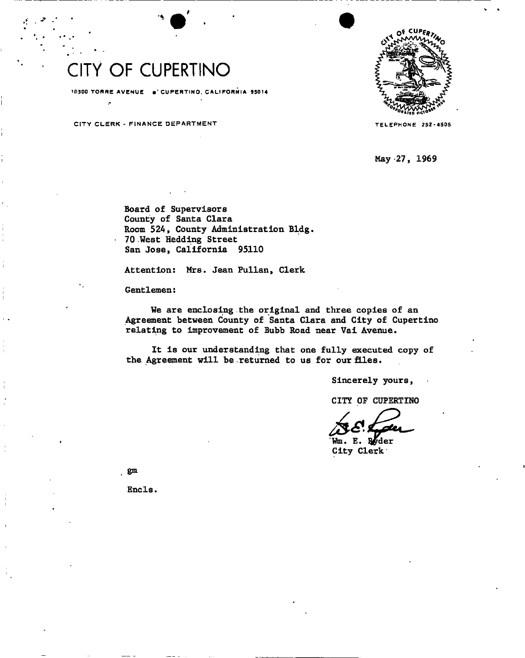### CITY OF CUPERTINO

10300 TORRE AVENUE . CUPERTINO, CALIFORNIA 95014

CITY CLERK - FINANCE DEPARTMENT THE TELEPHONE 252-4505



**May 27, 1969** 

**Board of Supervisors County of Santa Clara Room 524, County Administration Bldg. 70 West Hedding Street San Jose, California 95110** 

**Attention: Mrs. Jean Fullan, Clerk** 

**Gentlemen:** 

**We are enclosing the original and three copies of an Agreement between County of Santa Clara and City of Cupertino relating to Improvement of Bubb Road near Vai Avenue.** 

**It is our understanding that one fully executed copy of**  the Agreement will be returned to us for our files.

**Sincerely yours,** 

**CITY OF CUPERTINO** 

**Wm. E. I#der City Clerk** 

**gm** 

Encls.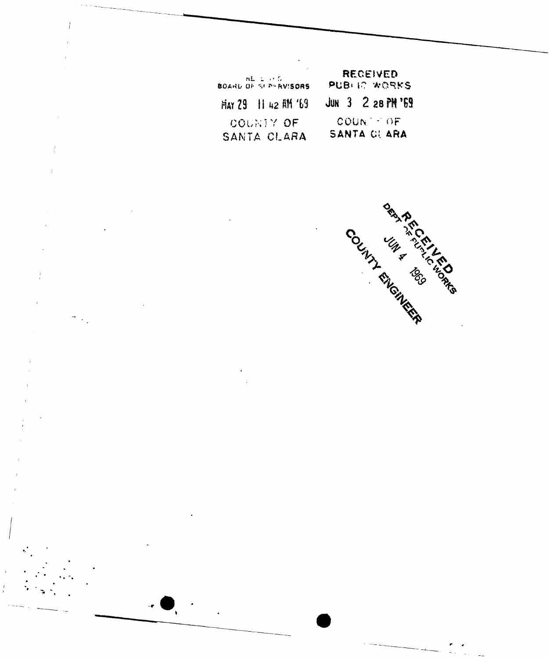|                                         | RECEIVED            |  |  |
|-----------------------------------------|---------------------|--|--|
| <b>ALL LIPS</b><br>BOARD OF SEPERVISORS | PUBLIC WORKS        |  |  |
| $Hint 29$ $  $ 42 $ifif 69$             | JUN $3$ 2 28 PM '69 |  |  |
| COUNTY OF                               | $COUN \cap OF$      |  |  |
| SANTA CLARA                             | SANTA CLARA         |  |  |

Í

 $\bar{I}$ 

 $\frac{1}{\epsilon}$ 

 $\dot{1}$ 

 $\overline{1}$ 

 $\frac{1}{2} \sum_{i=1}^{n} \frac{1}{i} \sum_{j=1}^{n} \frac{1}{j} \sum_{j=1}^{n} \frac{1}{j} \sum_{j=1}^{n} \frac{1}{j} \sum_{j=1}^{n} \frac{1}{j} \sum_{j=1}^{n} \frac{1}{j} \sum_{j=1}^{n} \frac{1}{j} \sum_{j=1}^{n} \frac{1}{j} \sum_{j=1}^{n} \frac{1}{j} \sum_{j=1}^{n} \frac{1}{j} \sum_{j=1}^{n} \frac{1}{j} \sum_{j=1}^{n} \frac{1}{j} \sum_{j=1}^{n$ 

**ORA PARTICIPAL AREA** COUNTY WAS TONEWAY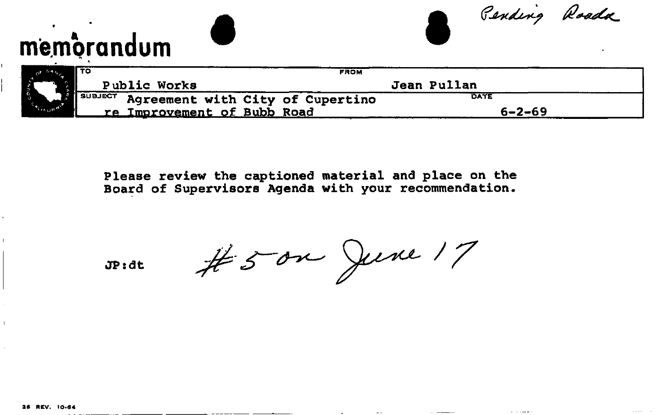| memorandum                                         |             |             |              | Pending Roada |
|----------------------------------------------------|-------------|-------------|--------------|---------------|
| Гто                                                | <b>FROM</b> |             |              |               |
| Public Works                                       |             | Jean Pullan |              |               |
| <b>SUBJECT</b><br>Agreement with City of Cupertino |             | DATE        |              |               |
| re Improvement of Bubb Road                        |             |             | $6 - 2 - 69$ |               |

**Please review the captioned material and place on the Board of Supervisors Agenda with your recommendation.** 

**JP:dt** 

#50m June 17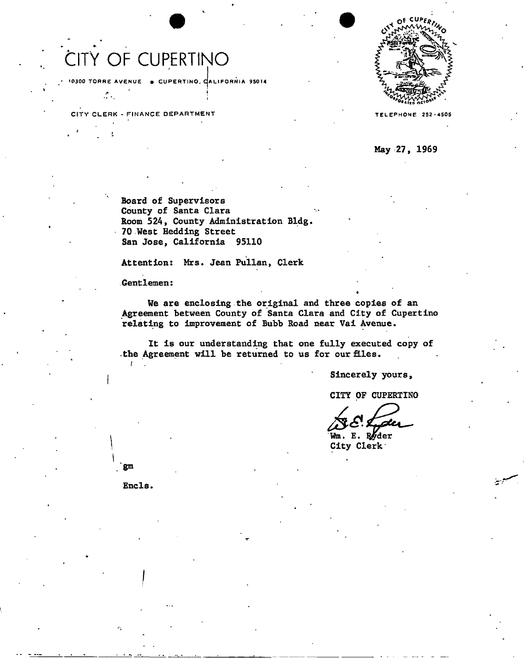## CITY OF CUPERTINO

10300 TORRE AVENUE • CUPERTINO, CALIFORNIA 95014

CITY CLERK - FINANCE DEPARTMENT

 $\mathcal{L}$ 



**TELEPHONE 252-4505** 

**May 27, 1969** 

**Board of Supervisors County of Santa Clara Room 524, County Administration Bldg 70 West Hedding Street San Jose, California 95110** 

**Attention: Mrs. Jean Fullan, Clerk** 

**Gentlemen:** 

**We are enclosing the original and three copies of an Agreement between County of Santa Clara and City of Cupertino relating to improvement of Bubb Road near Vai Avenue.** 

**It is our understanding that one fully executed copy of**  the Agreement will be returned to us for our files.

**Sincerely yours,** 

•

**CITY OF CUPERTINO** 

Wm. E. Ryder **City Clerk** 

Encls.

*I* 

gm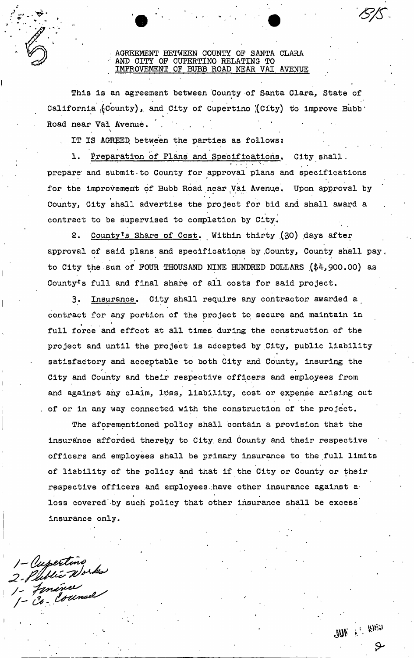### AGREEMENT BETWEEN COUNTY OF SANTA CLARA AND CITY OF CUPERTINO RELATING TO IMPROVEMENT OF BUBB ROAD NEAR VAI AVENUE

This is an agreement between County of Santa Clara, State of California  $(Country)$ , and City of Cupertino  $(City)$  to improve Bubb  $\cdot$ Road near Vai Avenue.

the contract of the contract of the contract of the contract of the contract of the contract of the contract of

IT IS AGREED between the parties as follows:

Preparation of Plans and Specifications. City shall. prepare and submit to County for approval plans and specifications for the improvement of Bubb Road near Vai Avenue. Upon approval by County, City shall advertise the project for bid and shall award a contract to be supervised to completion by City.

2. County's Share of Cost. Within thirty (30) days after approval of said plans and specifications by County, County shall pay. to City the sum of FOUR THOUSAND NINE HUNDRED DOLLARS (\$4,900.00) as County's full and final share of all costs for said project.

3. Insurance. City shall require any contractor awarded a contract for any portion of the project to secure and maintain in full force and effect at all times during the construction of the project and until the project is accepted by City, public liability satisfactory and acceptable to both City and County, insuring the satisfactory and acceptable to both City and County, insuring the City and County and their respective officers and employees from and against any claim, ltiss, liability, cost or expense arising out of or in any way connected with the construction of the project.

The aforementioned policy shall contain a provision that the insurance afforded thereby to City and County and their respective officers and employees shall be primary insurance to the full limits<br>of liability of the policy and that if the City or County or their respective officers and employees have other insurance against a loss covered by such policy that other insurance shall be excess loss covered -by such policy that other insurance shall be excess" insurance only.

1 - Cupertino<br>2 - Plublic Works<br>1 - Fenánce<br>1 - Co - Counsel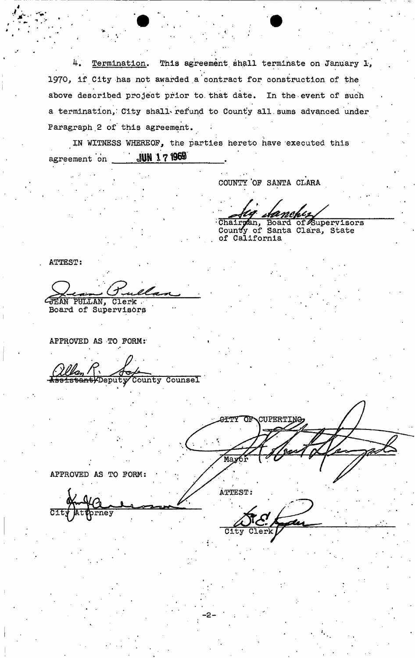4. Termination. This agreement shall terminate on January 1, 1970, if City has not awarded a contract for construction of the above described project prior to. that date. In the event of such a termination, City shall refund to County all sums advanced under Paragraph 2 of this agreement.

IN WITNESS WHEREOF, the parties hereto have executed this agreement on JUN 171969

COUNTY 'OF SANTA CLARA

Chair**y** County of California upervisors State

ATTEST:

IAN PULLAN, Clerk .

Board of Supervisors

APPROVED AS TO FORM:

bantyDeputy County Counsel

**GITY OF**  $MaxC$ 

APPROVED AS TO FORM:

rney

ATTEST:  $\mathcal{A}$ City Clerk